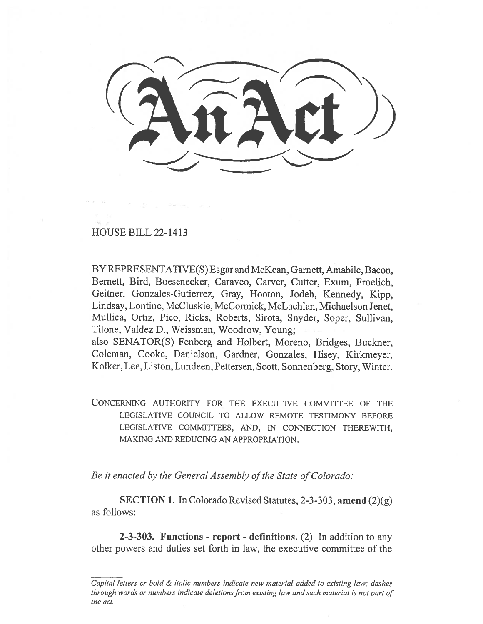HOUSE BILL 22-1413

BY REPRESENTATIVE(S) Esgar and McKean, Garnett, Amabile, Bacon, Bernett, Bird, Boesenecker, Caraveo, Carver, Cutter, Exum, Froelich, Geitner, Gonzales-Gutierrez, Gray, Hooton, Jodeh, Kennedy, Kipp, Lindsay, Lontine, McCluskie, McCormick, McLachlan, Michaelson Jenet, Mullica, Ortiz, Pico, Ricks, Roberts, Sirota, Snyder, Soper, Sullivan, Titone, Valdez D., Weissman, Woodrow, Young;

also SENATOR(S) Fenberg and Holbert, Moreno, Bridges, Buckner, Coleman, Cooke, Danielson, Gardner, Gonzales, Hisey, Kirkmeyer, Kolker, Lee, Liston, Lundeen, Pettersen, Scott, Sonnenberg, Story, Winter.

CONCERNING AUTHORITY FOR THE EXECUTIVE COMMITTEE OF THE LEGISLATIVE COUNCIL TO ALLOW REMOTE TESTIMONY BEFORE LEGISLATIVE COMMITTEES, AND, IN CONNECTION THEREWITH, MAKING AND REDUCING AN APPROPRIATION.

Be it enacted by the General Assembly of the State of Colorado:

SECTION 1. In Colorado Revised Statutes, 2-3-303, amend (2)(g) as follows:

2-3-303. Functions - report - definitions. (2) In addition to any other powers and duties set forth in law, the executive committee of the

Capital letters or bold & italic numbers indicate new material added to existing law; dashes through words or numbers indicate deletions from existing law and such material is not part of the act.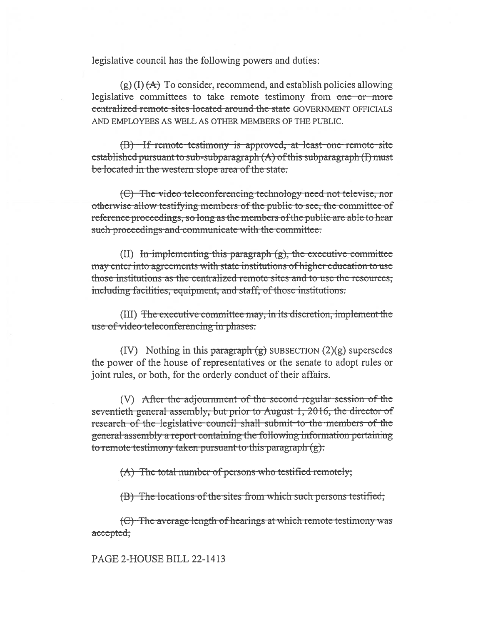legislative council has the following powers and duties:

 $(g)$  (I)  $\leftrightarrow$  To consider, recommend, and establish policies allowing legislative committees to take remote testimony from one or more centralized remote sites located around the state GOVERNMENT OFFICIALS AND EMPLOYEES AS WELL AS OTHER MEMBERS OF THE PUBLIC.

(B) If remote testimony is approved, at least one remote site established pursuant to sub-subparagraph (A) of this subparagraph (I) must be located in the western slope area of the state.

(C) The video teleconferencing technology need not televise, nor otherwise allow testifying members of the public to see, the committee of reference proceedings, so long as the members of the public are able to hear such proceedings and communicate with the committee.

(II) In implementing this paragraph  $(g)$ , the executive committee may enter into agreements with state institutions of higher education to use those institutions as the centralized remote sites and to use the resources. including facilities, equipment, and staff, of those institutions.

(III) The executive committee may, in its discretion, implement the use of video teleconferencing in phases.

(IV) Nothing in this paragraph  $(g)$  SUBSECTION  $(2)(g)$  supersedes the power of the house of representatives or the senate to adopt rules or joint rules, or both, for the orderly conduct of their affairs.

(V) After the adjournment of the second regular session of the seventieth general assembly, but prior to August 1, 2016, the director of research of the legislative council shall submit to the members of the general assembly a report containing the following information pertaining to remote testimony taken pursuant to this paragraph (g):

 $(A)$  The total number of persons who testified remotely;

(B) The locations of the sites from which such persons testified;

(C) The average length of hearings at which remote testimony was accepted;

## PAGE 2-HOUSE BILL 22-1413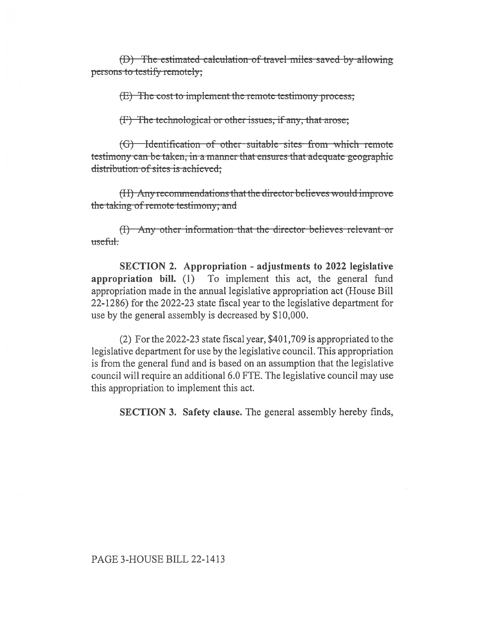(D) The estimated calculation of travel miles saved by allowing persons to testify remotely;

(E) The cost to implement the remote testimony process;

(F) The technological or other issues, if any, that arose;

(G) Identification of other suitable sites from which remote testimony can be taken, in a manner that ensures that adequate geographic distribution of sites is achieved;

(II) Any recommendations that the director believes would improve the taking of remote testimony; and

(I) Any other information that the director believes relevant or  $usefitt$ .

**SECTION 2.** Appropriation - adjustments to 2022 legislative appropriation bill. (1) To implement this act, the general fund appropriation made in the annual legislative appropriation act (House Bill 22-1286) for the 2022-23 state fiscal year to the legislative department for use by the general assembly is decreased by \$10,000.

(2) For the 2022-23 state fiscal year, \$401,709 is appropriated to the legislative department for use by the legislative council. This appropriation is from the general fund and is based on an assumption that the legislative council will require an additional 6.0 FTE. The legislative council may use this appropriation to implement this act.

**SECTION 3. Safety clause.** The general assembly hereby finds,